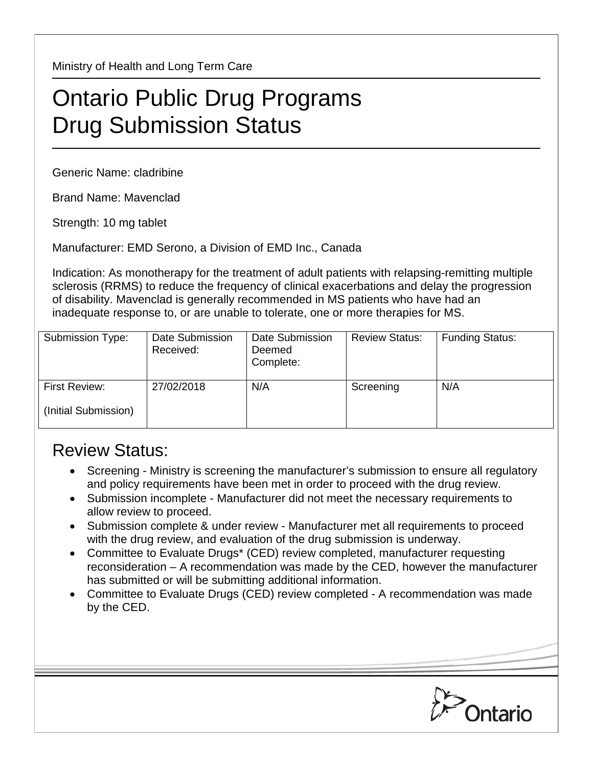Ministry of Health and Long Term Care

## Ontario Public Drug Programs Drug Submission Status

Generic Name: cladribine

Brand Name: Mavenclad

Strength: 10 mg tablet

Manufacturer: EMD Serono, a Division of EMD Inc., Canada

Indication: As monotherapy for the treatment of adult patients with relapsing-remitting multiple sclerosis (RRMS) to reduce the frequency of clinical exacerbations and delay the progression of disability. Mavenclad is generally recommended in MS patients who have had an inadequate response to, or are unable to tolerate, one or more therapies for MS.

| Submission Type:     | Date Submission<br>Received: | Date Submission<br>Deemed<br>Complete: | <b>Review Status:</b> | <b>Funding Status:</b> |
|----------------------|------------------------------|----------------------------------------|-----------------------|------------------------|
| First Review:        | 27/02/2018                   | N/A                                    | Screening             | N/A                    |
| (Initial Submission) |                              |                                        |                       |                        |

## Review Status:

- Screening Ministry is screening the manufacturer's submission to ensure all regulatory and policy requirements have been met in order to proceed with the drug review.
- Submission incomplete Manufacturer did not meet the necessary requirements to allow review to proceed.
- Submission complete & under review Manufacturer met all requirements to proceed with the drug review, and evaluation of the drug submission is underway.
- Committee to Evaluate Drugs\* (CED) review completed, manufacturer requesting reconsideration – A recommendation was made by the CED, however the manufacturer has submitted or will be submitting additional information.
- Committee to Evaluate Drugs (CED) review completed A recommendation was made by the CED.